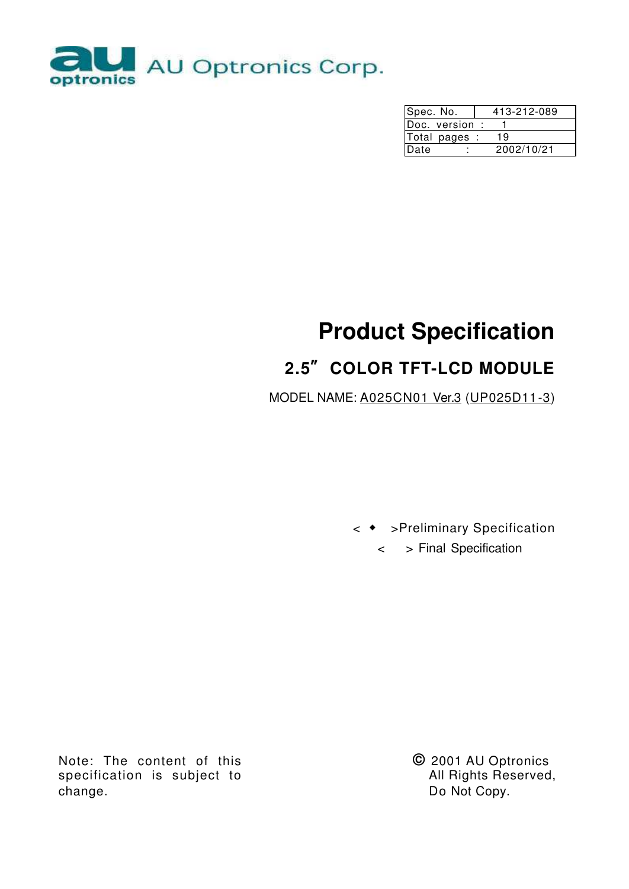

| Spec. No.      | 413-212-089 |  |  |  |  |  |
|----------------|-------------|--|--|--|--|--|
| Doc. version : |             |  |  |  |  |  |
| Total pages :  | 19          |  |  |  |  |  |
| Date           | 2002/10/21  |  |  |  |  |  |

# **Product Specification**

# **2.5" COLOR TFT-LCD MODULE**

MODEL NAME: A025CN01 Ver.3 (UP025D11-3)

< ͂ >Preliminary Specification

< > Final Specification

Note: The content of this specification is subject to change.

**©** 2001 AU Optronics All Rights Reserved, Do Not Copy.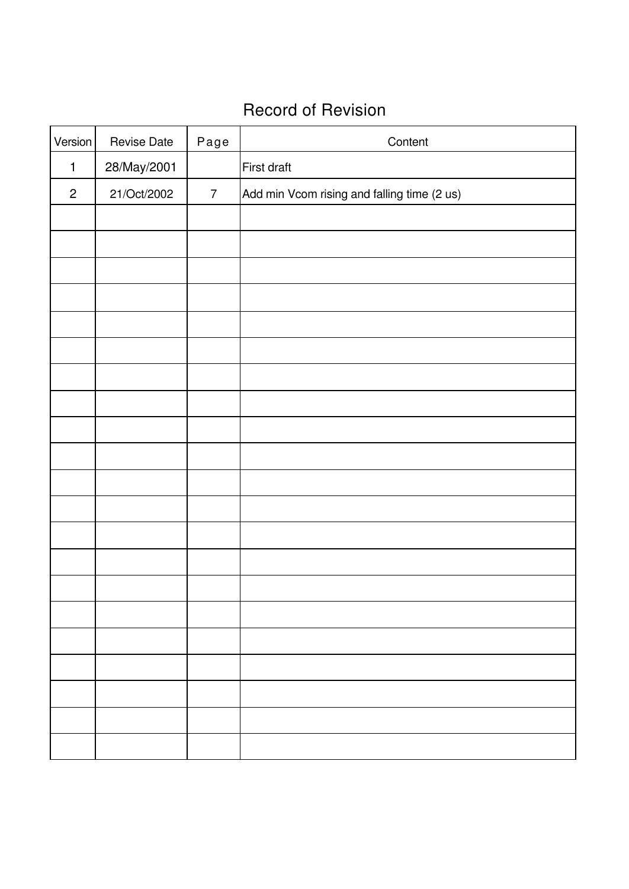## Record of Revision

| Version        | <b>Revise Date</b> | Page           | Content                                     |
|----------------|--------------------|----------------|---------------------------------------------|
| $\mathbf{1}$   | 28/May/2001        |                | First draft                                 |
| $\overline{c}$ | 21/Oct/2002        | $\overline{7}$ | Add min Vcom rising and falling time (2 us) |
|                |                    |                |                                             |
|                |                    |                |                                             |
|                |                    |                |                                             |
|                |                    |                |                                             |
|                |                    |                |                                             |
|                |                    |                |                                             |
|                |                    |                |                                             |
|                |                    |                |                                             |
|                |                    |                |                                             |
|                |                    |                |                                             |
|                |                    |                |                                             |
|                |                    |                |                                             |
|                |                    |                |                                             |
|                |                    |                |                                             |
|                |                    |                |                                             |
|                |                    |                |                                             |
|                |                    |                |                                             |
|                |                    |                |                                             |
|                |                    |                |                                             |
|                |                    |                |                                             |
|                |                    |                |                                             |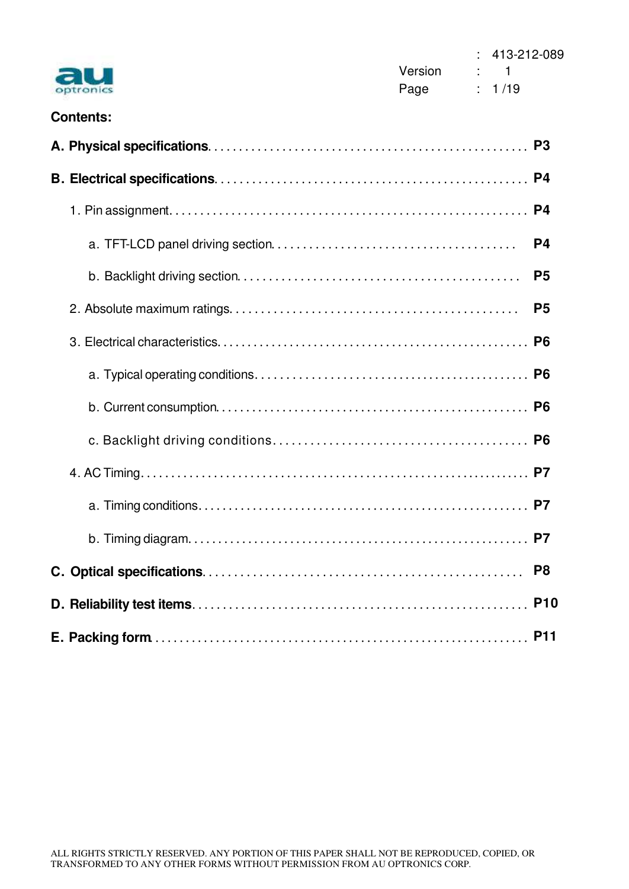|                  | Version |                           | $: 413-212-089$<br>1 |                |
|------------------|---------|---------------------------|----------------------|----------------|
|                  | Page    | $\mathbb{R}^{\mathbb{Z}}$ | 1/19                 |                |
| <b>Contents:</b> |         |                           |                      |                |
|                  |         |                           |                      |                |
|                  |         |                           |                      | P <sub>4</sub> |
|                  |         |                           |                      | P4             |
|                  |         |                           |                      | P <sub>4</sub> |
|                  |         |                           |                      | P <sub>5</sub> |
|                  |         |                           |                      | P <sub>5</sub> |
|                  |         |                           |                      |                |
|                  |         |                           |                      |                |
|                  |         |                           |                      |                |
|                  |         |                           |                      |                |
|                  |         |                           |                      |                |
|                  |         |                           |                      |                |
|                  |         |                           |                      | P7             |
|                  |         |                           |                      | P <sub>8</sub> |
|                  |         |                           |                      | <b>P10</b>     |
|                  |         |                           |                      |                |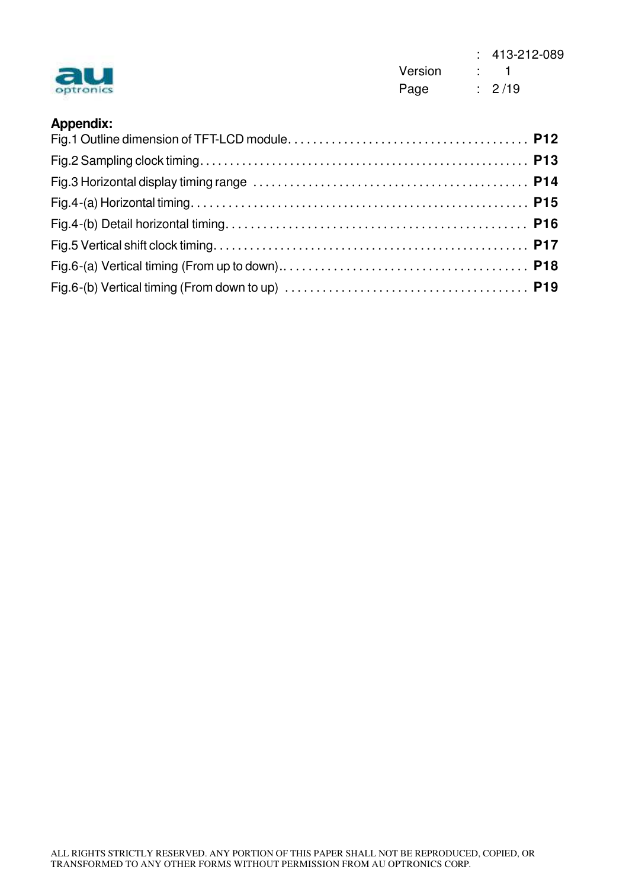| optronics        | Version | $\sim$ 1 | $: 413-212-089$ |
|------------------|---------|----------|-----------------|
|                  | Page    | : 2/19   |                 |
| <b>Appendix:</b> |         |          |                 |
|                  |         |          |                 |
|                  |         |          |                 |
|                  |         |          |                 |
|                  |         |          |                 |

Fig.5 Vertical shift clock timing **P17** Fig.6-(a) Vertical timing (From up to down) **P18**

Fig.6-(b) Vertical timing (From down to up) **P19**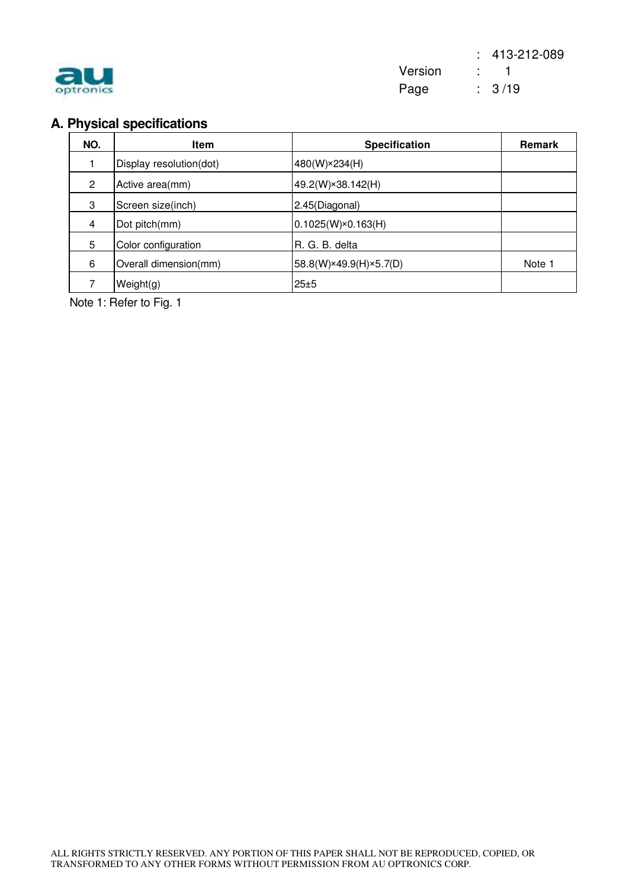

## **A. Physical specifications**

| NO.                  | <b>Item</b>             | <b>Specification</b>      | Remark |
|----------------------|-------------------------|---------------------------|--------|
|                      | Display resolution(dot) | 480(W)×234(H)             |        |
| $\mathbf{2}^{\circ}$ | Active area(mm)         | 49.2(W)×38.142(H)         |        |
| 3                    | Screen size(inch)       | 2.45(Diagonal)            |        |
| 4                    | Dot pitch(mm)           | $0.1025(W)\times0.163(H)$ |        |
| 5                    | Color configuration     | R. G. B. delta            |        |
| 6                    | Overall dimension(mm)   | 58.8(W)×49.9(H)×5.7(D)    | Note 1 |
|                      | Weight(g)               | 25±5                      |        |

Note 1: Refer to Fig. 1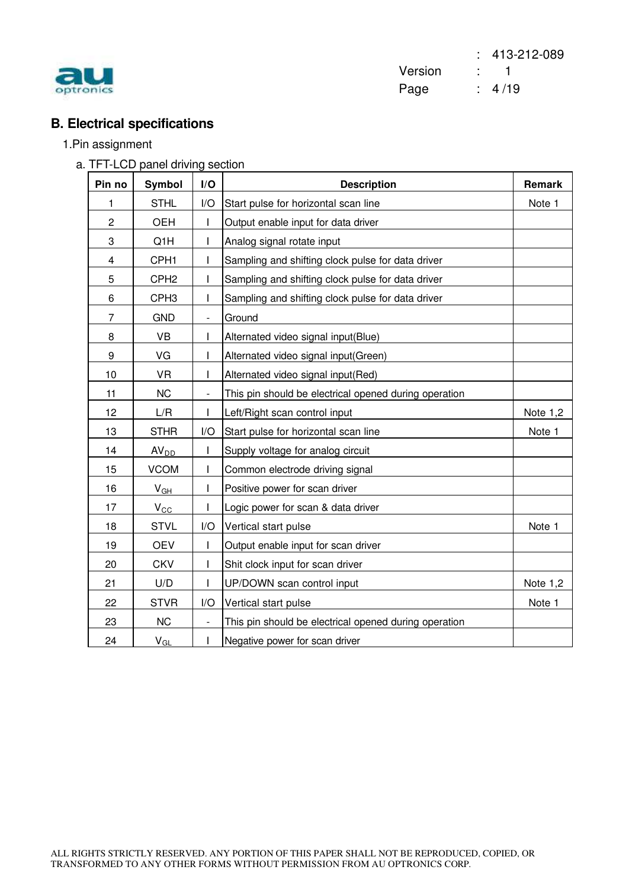

 : 413-212-089 Version : 1 experiences : 4/19

## **B. Electrical specifications**

#### 1.Pin assignment

a. TFT-LCD panel driving section

| Pin no                  | <b>Symbol</b>    | I/O                      | <b>Description</b>                                    | Remark   |
|-------------------------|------------------|--------------------------|-------------------------------------------------------|----------|
| 1                       | <b>STHL</b>      | I/O                      | Start pulse for horizontal scan line                  | Note 1   |
| $\overline{2}$          | <b>OEH</b>       |                          | Output enable input for data driver                   |          |
| 3                       | Q1H              |                          | Analog signal rotate input                            |          |
| $\overline{\mathbf{4}}$ | CPH1             |                          | Sampling and shifting clock pulse for data driver     |          |
| 5                       | CPH <sub>2</sub> |                          | Sampling and shifting clock pulse for data driver     |          |
| 6                       | CPH <sub>3</sub> |                          | Sampling and shifting clock pulse for data driver     |          |
| $\overline{7}$          | <b>GND</b>       | $\overline{\phantom{a}}$ | Ground                                                |          |
| 8                       | <b>VB</b>        | L                        | Alternated video signal input(Blue)                   |          |
| 9                       | VG               |                          | Alternated video signal input(Green)                  |          |
| 10                      | <b>VR</b>        | T                        | Alternated video signal input(Red)                    |          |
| 11                      | <b>NC</b>        |                          | This pin should be electrical opened during operation |          |
| 12                      | L/R              | $\mathsf{I}$             | Left/Right scan control input                         | Note 1,2 |
| 13                      | <b>STHR</b>      | I/O                      | Start pulse for horizontal scan line                  | Note 1   |
| 14                      | AV <sub>DD</sub> |                          | Supply voltage for analog circuit                     |          |
| 15                      | <b>VCOM</b>      | T                        | Common electrode driving signal                       |          |
| 16                      | $V_{GH}$         |                          | Positive power for scan driver                        |          |
| 17                      | $V_{CC}$         |                          | Logic power for scan & data driver                    |          |
| 18                      | <b>STVL</b>      | I/O                      | Vertical start pulse                                  | Note 1   |
| 19                      | <b>OEV</b>       |                          | Output enable input for scan driver                   |          |
| 20                      | <b>CKV</b>       | T                        | Shit clock input for scan driver                      |          |
| 21                      | U/D              |                          | UP/DOWN scan control input                            | Note 1,2 |
| 22                      | <b>STVR</b>      | I/O                      | Vertical start pulse                                  | Note 1   |
| 23                      | <b>NC</b>        |                          | This pin should be electrical opened during operation |          |
| 24                      | $V_{GL}$         | $\mathbf{I}$             | Negative power for scan driver                        |          |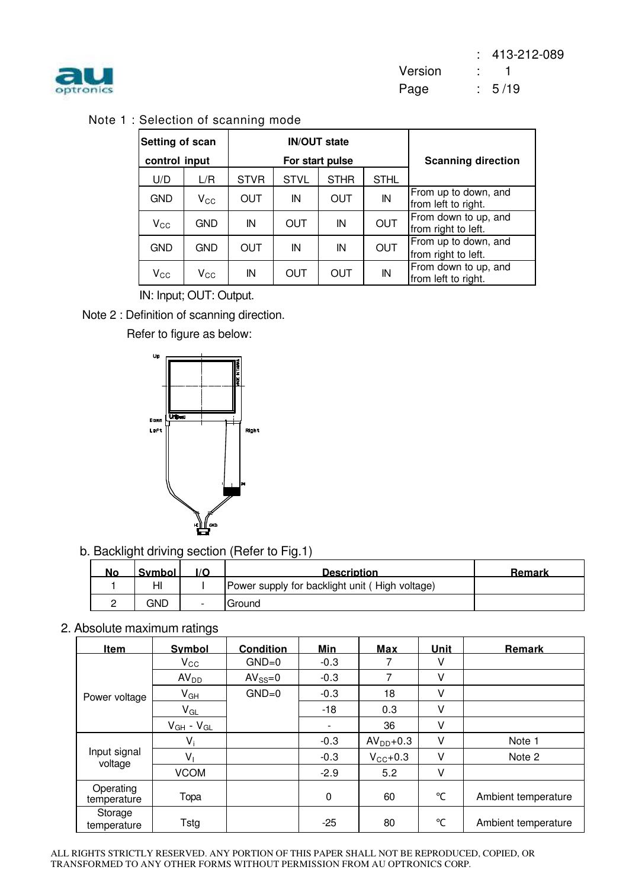

Note 1 : Selection of scanning mode

| Setting of scan<br>control input |              |             |             | <b>IN/OUT state</b><br>For start pulse | <b>Scanning direction</b> |                                             |  |
|----------------------------------|--------------|-------------|-------------|----------------------------------------|---------------------------|---------------------------------------------|--|
| U/D                              | L/R          | <b>STVR</b> | <b>STVL</b> | <b>STHR</b>                            | <b>STHL</b>               |                                             |  |
| <b>GND</b>                       | $V_{\rm CC}$ | OUT         | IN          | <b>OUT</b>                             | IN                        | From up to down, and<br>from left to right. |  |
| $V_{CC}$                         | <b>GND</b>   | IN          | OUT         | IN                                     | <b>OUT</b>                | From down to up, and<br>from right to left. |  |
| <b>GND</b>                       | <b>GND</b>   | <b>OUT</b>  | IN          | IN                                     | <b>OUT</b>                | From up to down, and<br>from right to left. |  |
| $V_{\rm CC}$                     | $\rm V_{CC}$ | IN          | OUT         | OUT                                    | IN                        | From down to up, and<br>from left to right. |  |

IN: Input; OUT: Output.

Note 2 : Definition of scanning direction.

Refer to figure as below:



b. Backlight driving section (Refer to Fig.1)

| <b>No</b> | Symbol |                          | <b>Description</b>                             | Remark |
|-----------|--------|--------------------------|------------------------------------------------|--------|
|           | HI     |                          | Power supply for backlight unit (High voltage) |        |
|           | GND    | $\overline{\phantom{0}}$ | Ground                                         |        |

2. Absolute maximum ratings

| <u>Item</u>              | Symbol              | <b>Condition</b> | <u>Min</u> | Max                 | <u>Unit</u> | <b>Remark</b>       |
|--------------------------|---------------------|------------------|------------|---------------------|-------------|---------------------|
|                          | $V_{\rm CC}$        | $GND=0$          | $-0.3$     | 7                   | v           |                     |
|                          | AV <sub>DD</sub>    | $AV_{SS}=0$      | $-0.3$     | 7                   | V           |                     |
| Power voltage            | $V_{GH}$            | $GND=0$          | $-0.3$     | 18                  | V           |                     |
|                          | $V_{GL}$            |                  | $-18$      | 0.3                 | V           |                     |
|                          | $V_{GH}$ - $V_{GL}$ |                  | ۳          | 36                  | V           |                     |
|                          | $V_i$               |                  | $-0.3$     | $AVDD+0.3$          | V           | Note 1              |
| Input signal<br>voltage  | V,                  |                  | $-0.3$     | $V_{\text{CC}}+0.3$ | V           | Note 2              |
|                          | <b>VCOM</b>         |                  | $-2.9$     | 5.2                 | V           |                     |
| Operating<br>temperature | Topa                |                  | 0          | 60                  | °C          | Ambient temperature |
| Storage<br>temperature   | Tstg                |                  | $-25$      | 80                  | °C          | Ambient temperature |

ALL RIGHTS STRICTLY RESERVED. ANY PORTION OF THIS PAPER SHALL NOT BE REPRODUCED, COPIED, OR TRANSFORMED TO ANY OTHER FORMS WITHOUT PERMISSION FROM AU OPTRONICS CORP.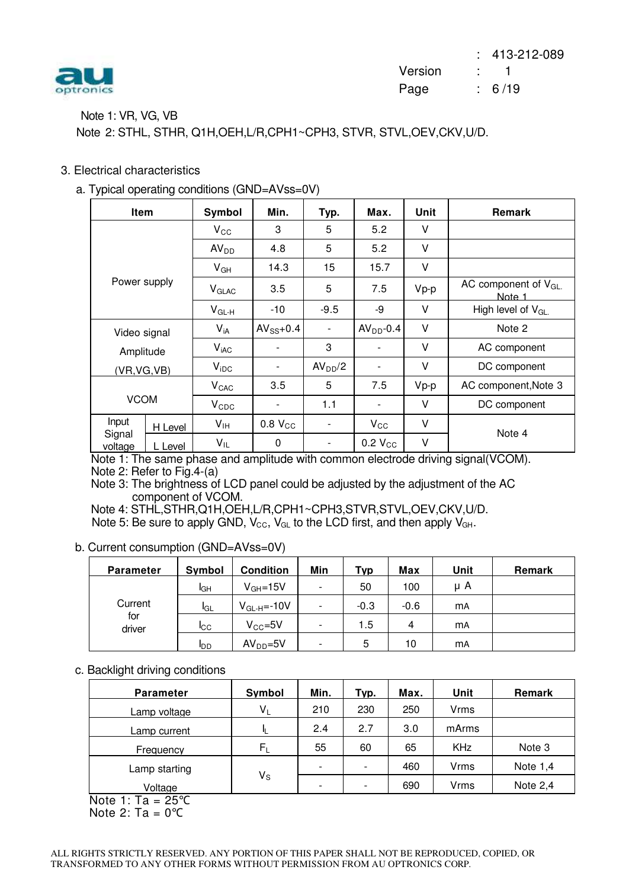

#### Note 1: VR, VG, VB

Note 2: STHL, STHR, Q1H,OEH,L/R,CPH1~CPH3, STVR, STVL,OEV,CKV,U/D.

#### 3. Electrical characteristics

a. Typical operating conditions (GND=AVss=0V)

| <b>Item</b>       |         | Symbol           | Min.                | Typ.                     | Max.                     | Unit   | <b>Remark</b>                      |
|-------------------|---------|------------------|---------------------|--------------------------|--------------------------|--------|------------------------------------|
|                   |         | $V_{\rm CC}$     | 3                   | 5                        | 5.2                      | V      |                                    |
|                   |         | AV <sub>DD</sub> | 4.8                 | 5                        | 5.2                      | V      |                                    |
|                   |         | $V_{GH}$         | 14.3                | 15                       | 15.7                     | V      |                                    |
| Power supply      |         | $V_{GLAC}$       | 3.5                 | 5                        | 7.5                      | Vp-p   | AC component of $V_{GL}$<br>Note 1 |
|                   |         | $V_{GL-H}$       | -10                 | $-9.5$                   | -9                       | $\vee$ | High level of $V_{GL}$             |
| Video signal      |         | $V_{iA}$         | $AV_{SS}+0.4$       | $\overline{\phantom{0}}$ | $AVDD-0.4$               | V      | Note 2                             |
| Amplitude         |         | V <sub>iAC</sub> |                     | 3                        |                          | V      | AC component                       |
| (VR, VG, VB)      |         | $V_{\text{IDC}}$ |                     | AV <sub>DD</sub> /2      | $\overline{\phantom{a}}$ | V      | DC component                       |
| <b>VCOM</b>       |         | V <sub>CAC</sub> | 3.5                 | 5                        | 7.5                      | Vp-p   | AC component, Note 3               |
|                   |         | $V_{CDC}$        |                     | 1.1                      | Ξ.                       | V      | DC component                       |
| Input             | H Level | V <sub>IH</sub>  | 0.8 V <sub>CC</sub> | $\overline{\phantom{a}}$ | $V_{\rm CC}$             | V      |                                    |
| Signal<br>voltage | L Level | $V_{IL}$         | $\Omega$            |                          | 0.2 V <sub>CC</sub>      | V      | Note 4                             |

Note 1: The same phase and amplitude with common electrode driving signal(VCOM). Note 2: Refer to Fig.4-(a)

Note 3: The brightness of LCD panel could be adjusted by the adjustment of the AC component of VCOM.

Note 4: STHL,STHR,Q1H,OEH,L/R,CPH1~CPH3,STVR,STVL,OEV,CKV,U/D. Note 5: Be sure to apply GND,  $V_{\text{CC}}$ ,  $V_{\text{GL}}$  to the LCD first, and then apply  $V_{\text{GH}}$ .

b. Current consumption (GND=AVss=0V)

| <b>Parameter</b> | Symbol      | <b>Condition</b> | Min                      | Typ    | Max    | Unit      | Remark |
|------------------|-------------|------------------|--------------------------|--------|--------|-----------|--------|
|                  | IGН         | $V_{GH} = 15V$   | $\overline{\phantom{a}}$ | 50     | 100    | μA        |        |
| Current          | <b>I</b> GL | $V_{GL-H}$ =-10V | $\overline{\phantom{a}}$ | $-0.3$ | $-0.6$ | <b>mA</b> |        |
| for<br>driver    | <b>I</b> CC | $V_{CC} = 5V$    | $\overline{\phantom{a}}$ | 1.5    | 4      | <b>mA</b> |        |
|                  | <b>I</b> DD | $AVDD=5V$        | $\overline{\phantom{a}}$ | 5      | 10     | <b>mA</b> |        |

#### c. Backlight driving conditions

| <b>Parameter</b>           | Symbol                  | Min.                     | Typ.                     | Max. | Unit        | Remark     |
|----------------------------|-------------------------|--------------------------|--------------------------|------|-------------|------------|
| Lamp voltage               | $V_L$                   | 210                      | 230                      | 250  | <b>Vrms</b> |            |
| Lamp current               |                         | 2.4                      | 2.7                      | 3.0  | mArms       |            |
| Frequency                  | $F_L$                   | 55                       | 60                       | 65   | <b>KHz</b>  | Note 3     |
| Lamp starting              |                         | $\overline{\phantom{0}}$ | $\overline{\phantom{a}}$ | 460  | <b>Vrms</b> | Note $1,4$ |
| Voltage                    | $\mathsf{V}_\mathsf{S}$ | $\overline{\phantom{0}}$ | $\overline{\phantom{a}}$ | 690  | Vrms        | Note $2,4$ |
| Note $1 \cdot T_2 = 25$ °C |                         |                          |                          |      |             |            |

Note 1:  $Ia = 25^{\circ}C$ Note 2:  $Ta = 0$ °C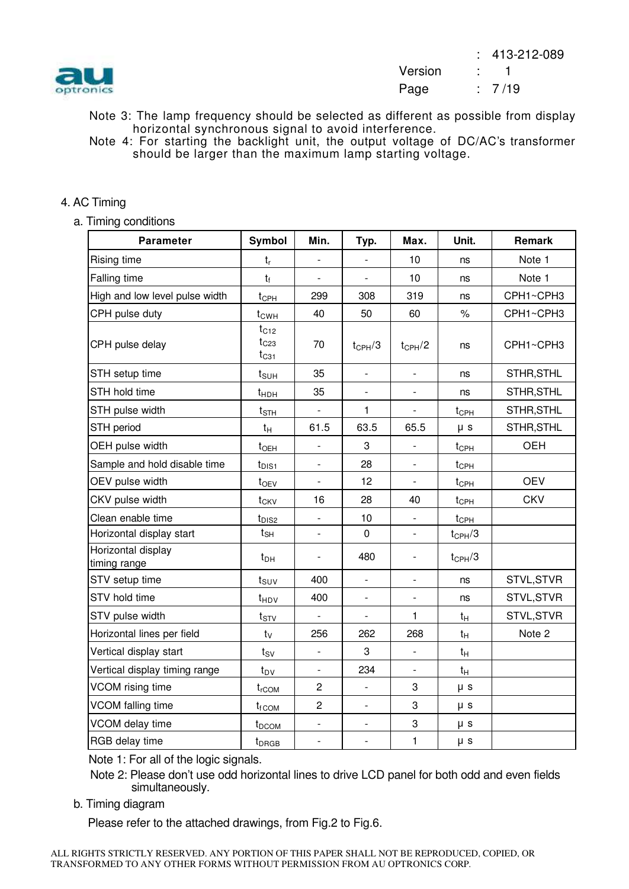

- Note 3: The lamp frequency should be selected as different as possible from display horizontal synchronous signal to avoid interference.
- Note 4: For starting the backlight unit, the output voltage of DC/AC's transformer should be larger than the maximum lamp starting voltage.

#### 4. AC Timing

a. Timing conditions

| <b>Parameter</b>                   | Symbol                              | Min.                     | Typ.                     | Max.                     | Unit.              | Remark     |
|------------------------------------|-------------------------------------|--------------------------|--------------------------|--------------------------|--------------------|------------|
| Rising time                        | $t_{r}$                             | $\blacksquare$           | $\blacksquare$           | 10                       | ns                 | Note 1     |
| Falling time                       | $t_{f}$                             |                          |                          | 10                       | ns                 | Note 1     |
| High and low level pulse width     | $t_{\text{CPH}}$                    | 299                      | 308                      | 319                      | ns                 | CPH1~CPH3  |
| CPH pulse duty                     | t <sub>CWH</sub>                    | 40                       | 50                       | 60                       | $\%$               | CPH1~CPH3  |
| CPH pulse delay                    | $t_{C12}$<br>$t_{C23}$<br>$t_{C31}$ | 70                       | $t_{\text{CPH}}/3$       | $t_{CPH}/2$              | ns                 | CPH1~CPH3  |
| STH setup time                     | $t_{\text{SUH}}$                    | 35                       | $\overline{a}$           |                          | ns                 | STHR, STHL |
| STH hold time                      | t <sub>HDH</sub>                    | 35                       | $\overline{a}$           |                          | ns                 | STHR, STHL |
| STH pulse width                    | $t_{\text{STH}}$                    |                          | 1                        |                          | $t_{\text{CPH}}$   | STHR, STHL |
| STH period                         | $t_{H}$                             | 61.5                     | 63.5                     | 65.5                     | $\mu$ s            | STHR, STHL |
| OEH pulse width                    | $t_{OEH}$                           |                          | 3                        |                          | $t_{\text{CPH}}$   | OEH        |
| Sample and hold disable time       | $t_{DIS1}$                          | $\overline{a}$           | 28                       |                          | $t_{\text{CPH}}$   |            |
| OEV pulse width                    | $t_{OEV}$                           | $\blacksquare$           | 12                       |                          | $t_{\text{CPH}}$   | <b>OEV</b> |
| CKV pulse width                    | t <sub>CKV</sub>                    | 16                       | 28                       | 40                       | $t_{\text{CPH}}$   | <b>CKV</b> |
| Clean enable time                  | t <sub>DIS2</sub>                   | $\Box$                   | 10                       | $\overline{\phantom{a}}$ | $t_{\text{CPH}}$   |            |
| Horizontal display start           | $t_{\text{SH}}$                     | $\overline{a}$           | $\mathbf 0$              |                          | $t_{\text{CPH}}/3$ |            |
| Horizontal display<br>timing range | $t_{DH}$                            | $\overline{\phantom{0}}$ | 480                      | $\overline{\phantom{a}}$ | $t_{\text{CPH}}/3$ |            |
| STV setup time                     | $t_{\text{SUV}}$                    | 400                      | $\overline{\phantom{a}}$ | $\overline{\phantom{a}}$ | ns                 | STVL, STVR |
| STV hold time                      | t <sub>HDV</sub>                    | 400                      | $\frac{1}{2}$            |                          | ns                 | STVL, STVR |
| STV pulse width                    | $t_{STV}$                           | ÷.                       | $\frac{1}{2}$            | 1                        | $t_H$              | STVL, STVR |
| Horizontal lines per field         | $t_V$                               | 256                      | 262                      | 268                      | $t_H$              | Note 2     |
| Vertical display start             | $t_{SV}$                            | $\frac{1}{2}$            | 3                        |                          | $t_H$              |            |
| Vertical display timing range      | $t_{\text{DV}}$                     | $\overline{\phantom{a}}$ | 234                      | $\overline{\phantom{a}}$ | $t_H$              |            |
| VCOM rising time                   | $t_{rCOM}$                          | $\overline{c}$           | $\blacksquare$           | 3                        | $\mu$ s            |            |
| VCOM falling time                  | $t_{f}$ <sub>COM</sub>              | $\overline{2}$           | $\blacksquare$           | 3                        | $\mu$ s            |            |
| VCOM delay time                    | t <sub>DCOM</sub>                   | $\overline{\phantom{0}}$ | $\overline{a}$           | 3                        | $\mu$ s            |            |
| RGB delay time                     | t <sub>DRGB</sub>                   | $\overline{a}$           | $\blacksquare$           | 1                        | $\mu$ s            |            |

Note 1: For all of the logic signals.

Note 2: Please don't use odd horizontal lines to drive LCD panel for both odd and even fields simultaneously.

b. Timing diagram

Please refer to the attached drawings, from Fig.2 to Fig.6.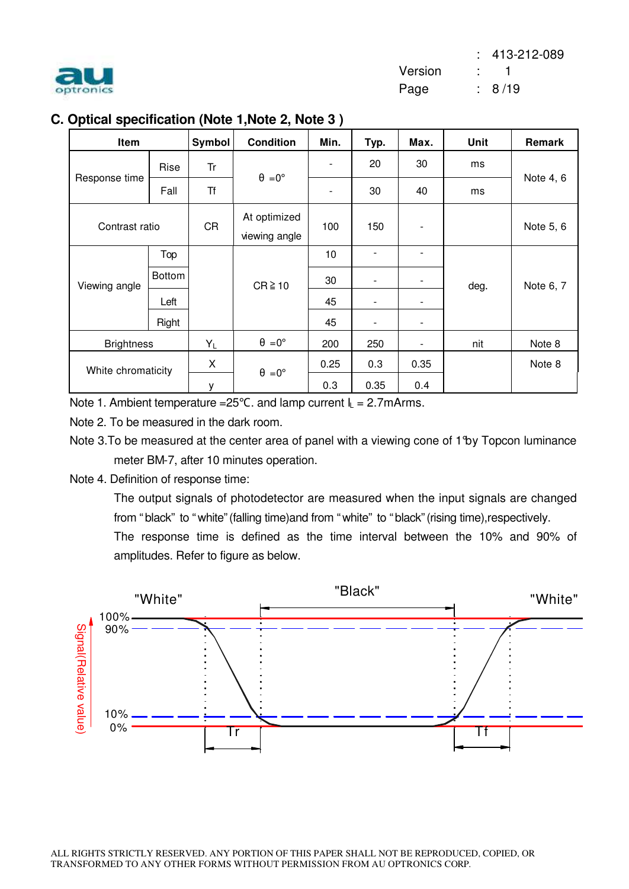

|  | C. Optical specification (Note 1, Note 2, Note 3) |  |  |  |  |
|--|---------------------------------------------------|--|--|--|--|
|--|---------------------------------------------------|--|--|--|--|

| Item               |        | Symbol    | <b>Condition</b>              | Min.                     | Typ.                     | Max.                     | Unit | Remark    |
|--------------------|--------|-----------|-------------------------------|--------------------------|--------------------------|--------------------------|------|-----------|
|                    | Rise   | Tr        | $\theta = 0^{\circ}$          |                          | 20                       | 30                       | ms   |           |
| Response time      | Fall   | <b>Tf</b> |                               | $\overline{\phantom{a}}$ | 30                       | 40                       | ms   | Note 4, 6 |
| Contrast ratio     |        | <b>CR</b> | At optimized<br>viewing angle | 100                      | 150                      |                          |      | Note 5, 6 |
|                    | Top    |           |                               | 10                       | ٠                        | ٠                        |      |           |
| Viewing angle      | Bottom |           | $CR \ge 10$                   | 30                       | $\overline{\phantom{a}}$ |                          | deg. | Note 6, 7 |
|                    | Left   |           |                               | 45                       | $\overline{\phantom{a}}$ | -                        |      |           |
|                    | Right  |           |                               | 45                       |                          |                          |      |           |
| <b>Brightness</b>  |        | $Y_L$     | $\theta = 0^\circ$            | 200                      | 250                      | $\overline{\phantom{a}}$ | nit  | Note 8    |
| White chromaticity |        | X.        | $\theta = 0^{\circ}$          | 0.25                     | 0.3                      | 0.35                     |      | Note 8    |
|                    |        | у         |                               | 0.3                      | 0.35                     | 0.4                      |      |           |

Note 1. Ambient temperature =  $25^{\circ}$ C. and lamp current  $I_L = 2.7$ mArms.

Note 2. To be measured in the dark room.

Note 3. To be measured at the center area of panel with a viewing cone of 1 by Topcon luminance meter BM-7, after 10 minutes operation.

Note 4. Definition of response time:

The output signals of photodetector are measured when the input signals are changed from "black" to "white"(falling time)and from "white" to "black"(rising time),respectively.

The response time is defined as the time interval between the 10% and 90% of amplitudes. Refer to figure as below.

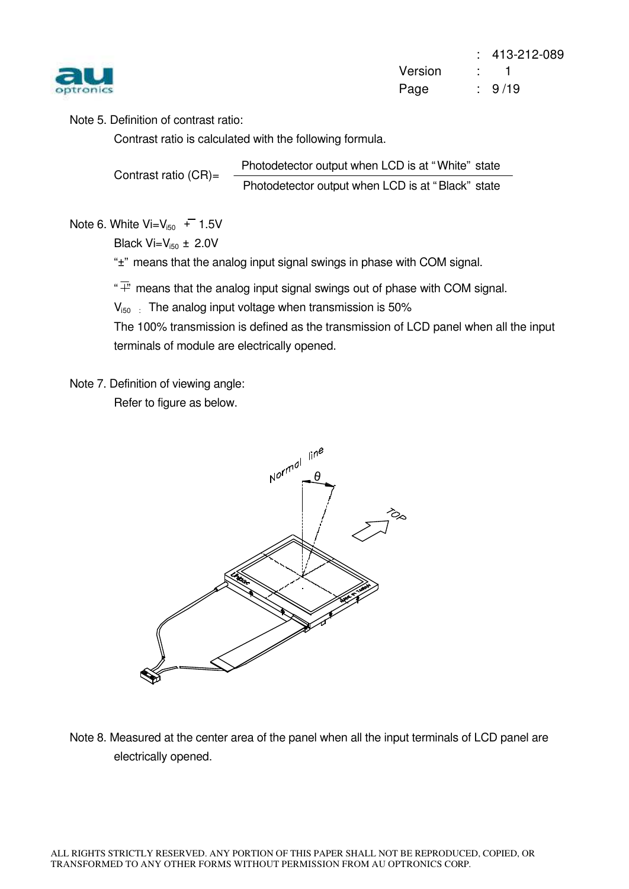

Note 5. Definition of contrast ratio:

Contrast ratio is calculated with the following formula.

Contrast ratio (CR)= Photodetector output when LCD is at " White" state Photodetector output when LCD is at " Black" state

Note 6. White  $Vi = V_{150}$  + 1.5V

Black  $Vi=V_{150} \pm 2.0V$ 

"<sup>+</sup>" means that the analog input signal swings in phase with COM signal.

 $\overline{f}^*$  means that the analog input signal swings out of phase with COM signal.

 $V_{150}$  : The analog input voltage when transmission is 50%

The 100% transmission is defined as the transmission of LCD panel when all the input terminals of module are electrically opened.

Note 7. Definition of viewing angle: Refer to figure as below.



Note 8. Measured at the center area of the panel when all the input terminals of LCD panel are electrically opened.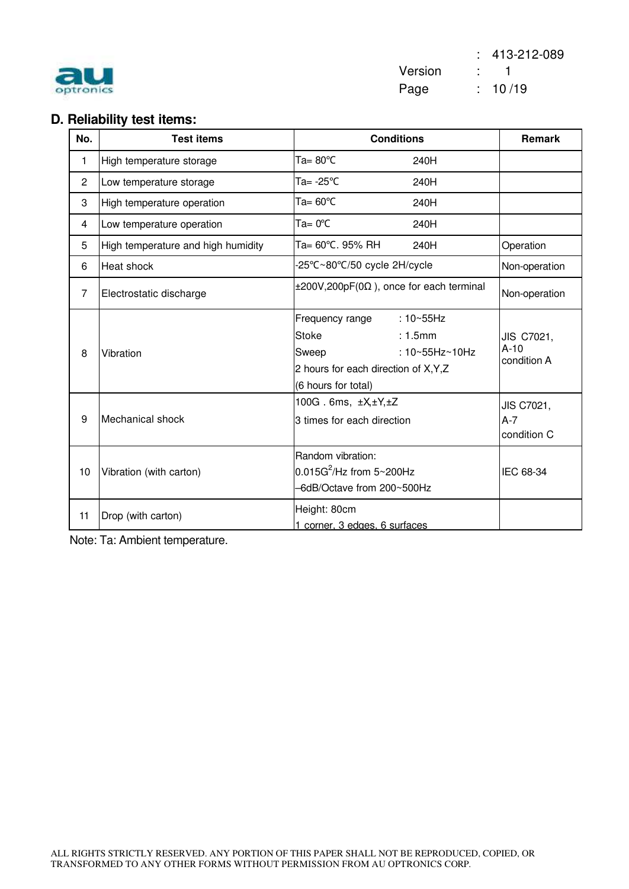| ptronk |
|--------|
|        |

 : 413-212-089 Version : 1 Page : 10/19

### **D. Reliability test items:**

| No.            | <b>Test items</b>                  | <b>Conditions</b>                                                                                                                                       | Remark                              |
|----------------|------------------------------------|---------------------------------------------------------------------------------------------------------------------------------------------------------|-------------------------------------|
| 1              | High temperature storage           | Ta= $80^{\circ}$ C<br>240H                                                                                                                              |                                     |
| $\overline{2}$ | Low temperature storage            | Ta= -25°C<br>240H                                                                                                                                       |                                     |
| 3              | High temperature operation         | Ta= $60^{\circ}$ C<br>240H                                                                                                                              |                                     |
| 4              | Low temperature operation          | $Ta = 0^{\circ}C$<br>240H                                                                                                                               |                                     |
| 5              | High temperature and high humidity | Ta= 60°C. 95% RH<br>240H                                                                                                                                | Operation                           |
| 6              | Heat shock                         | 25°C~80°C/50 cycle 2H/cycle                                                                                                                             | Non-operation                       |
| $\overline{7}$ | Electrostatic discharge            | $\pm 200V, 200pF(0\Omega)$ , once for each terminal                                                                                                     | Non-operation                       |
| 8              | Vibration                          | : $10 - 55$ Hz<br>Frequency range<br><b>Stoke</b><br>: 1.5mm<br>: 10~55Hz~10Hz<br>Sweep<br>2 hours for each direction of X, Y, Z<br>(6 hours for total) | JIS C7021,<br>$A-10$<br>condition A |
| 9              | Mechanical shock                   | 100G. 6ms, $\pm X, \pm Y, \pm Z$<br>3 times for each direction                                                                                          | JIS C7021,<br>$A-7$<br>condition C  |
| 10             | Vibration (with carton)            | Random vibration:<br>$0.015G^2$ /Hz from 5~200Hz<br>-6dB/Octave from 200~500Hz                                                                          | IEC 68-34                           |
| 11             | Drop (with carton)                 | Height: 80cm<br>1 corner, 3 edges, 6 surfaces                                                                                                           |                                     |

Note: Ta: Ambient temperature.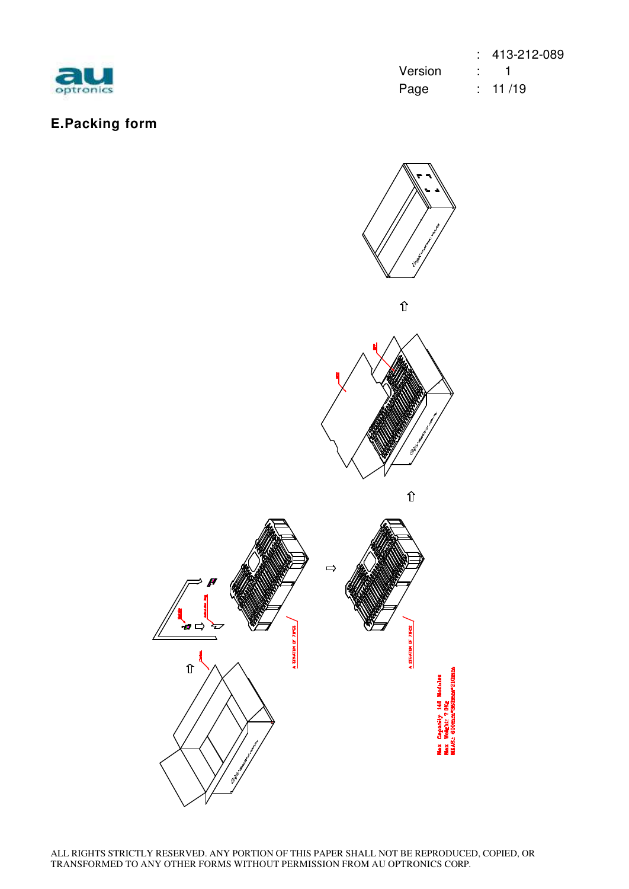

## **E.Packing form**

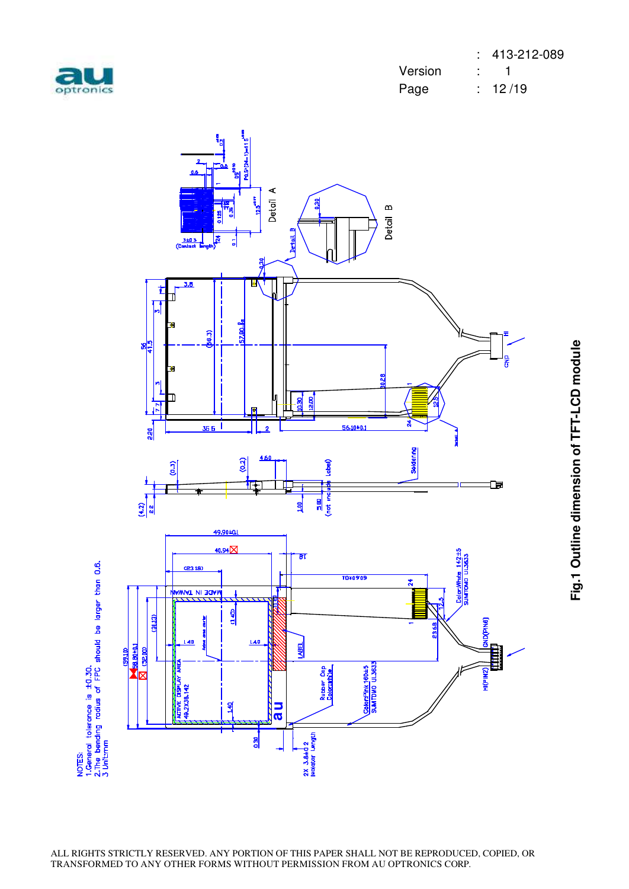



Fig.1 Outline dimension of TFT-LCD module **Fig.1 Outline dimension of TFT-LCD module**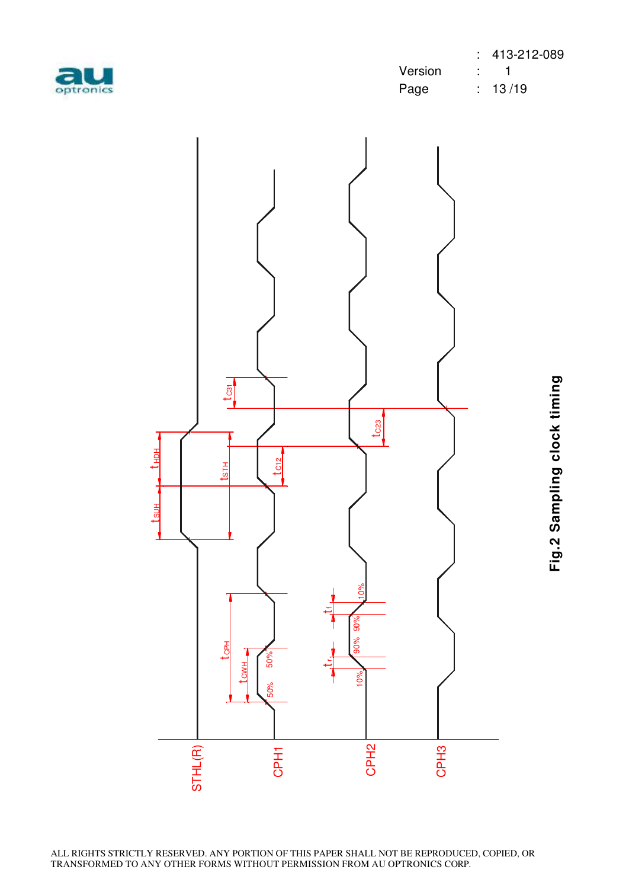| optronic |
|----------|
|          |

|           |         | $: 413-212-089$        |
|-----------|---------|------------------------|
| au        | Version | $\sim$ $\sim$ $\sim$ 1 |
| optronics | Page    | $\div$ 13/19           |



Fig.2 Sampling clock timing **Fig.2 Sampling clock timing**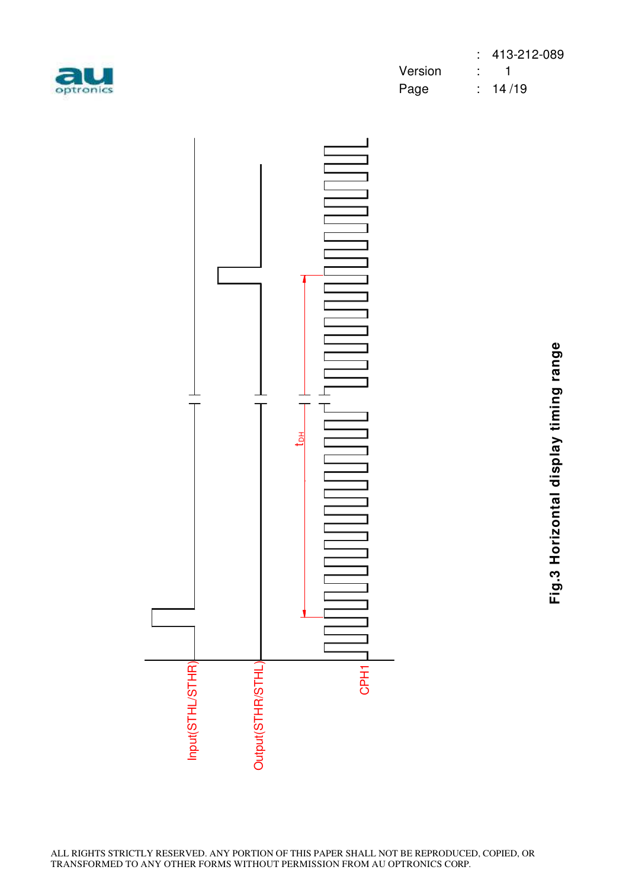

|           |             | $: 413-212-089$ |
|-----------|-------------|-----------------|
| au        | Version : 1 |                 |
| optronics | Page        | : 14/19         |



Fig.3 Horizontal display timing range **Fig.3 Horizontal display timing range**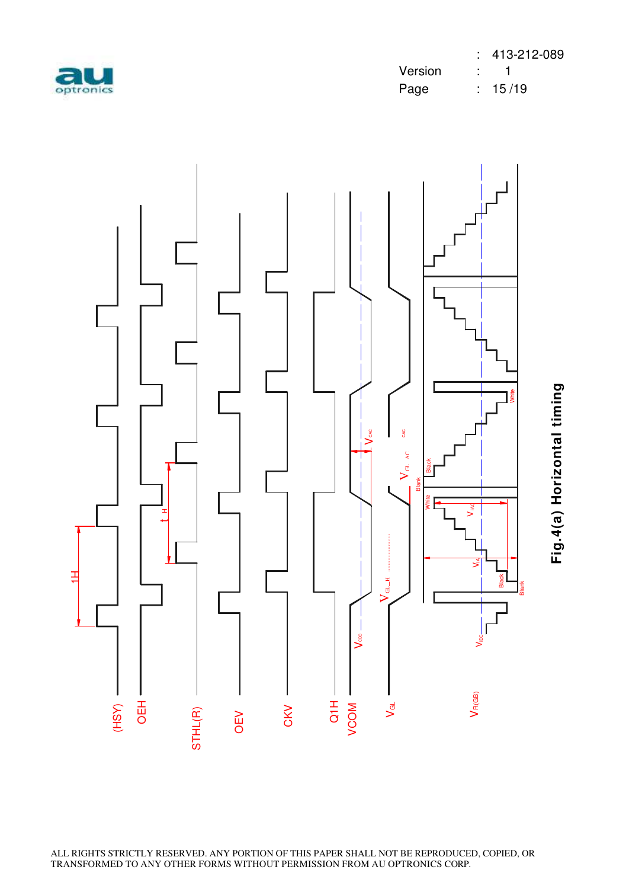



Fig.4(a) Horizontal timing **Fig.4(a) Horizontal timing**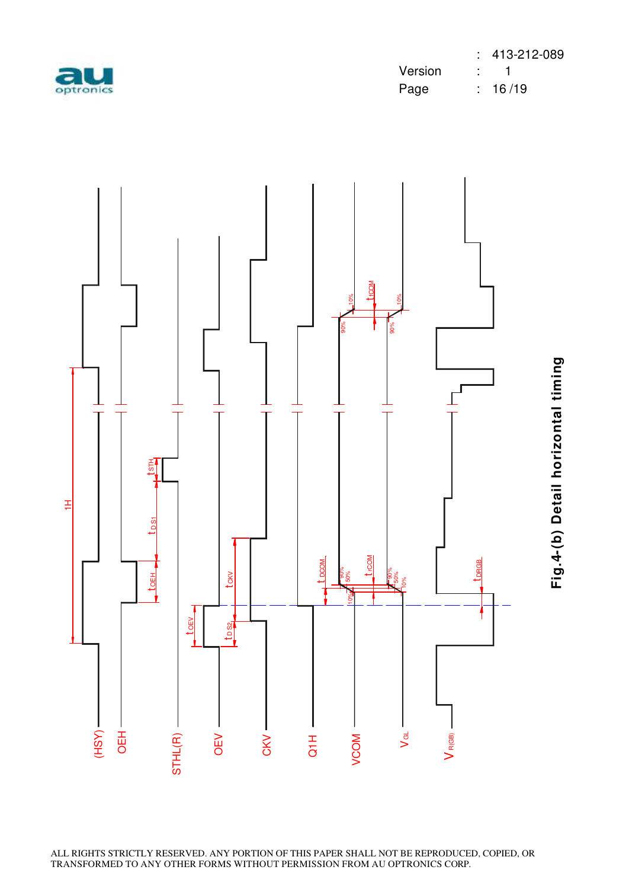

|           |         | $: 413-212-089$        |
|-----------|---------|------------------------|
| au        | Version | $\sim$ $\sim$ $\sim$ 1 |
| optronics | Page    | : 16/19                |



**Fig.4-(b) Detail horizontal timin** Fig.4-(b) Detail horizontal timing

ALL RIGHTS STRICTLY RESERVED. ANY PORTION OF THIS PAPER SHALL NOT BE REPRODUCED, COPIED, OR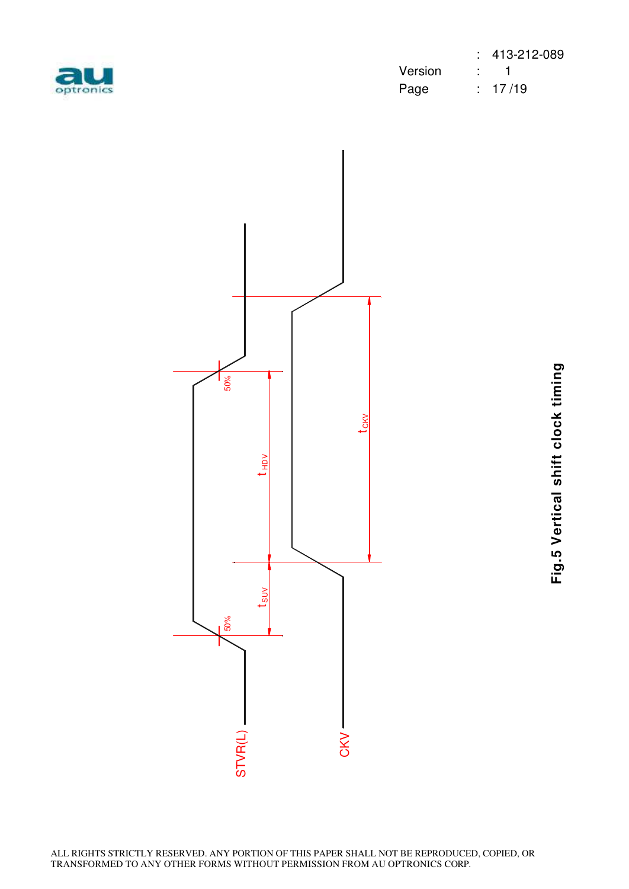| ptroni |  |
|--------|--|

|           |         | $: 413-212-089$ |
|-----------|---------|-----------------|
| au        | Version |                 |
| optronics | Page    | $\div$ 17/19    |



Fig.5 Vertical shift clock timing **Fig.5 Vertical shift clock timing**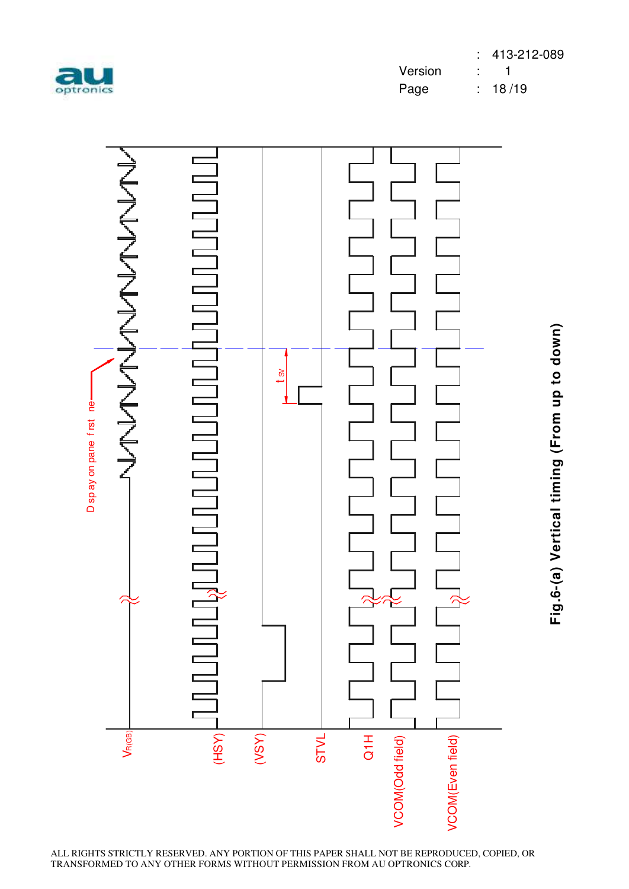



Fig.6-(a) Vertical timing (From up to down) **Fig.6-(a) Vertical timing (From up to down)**